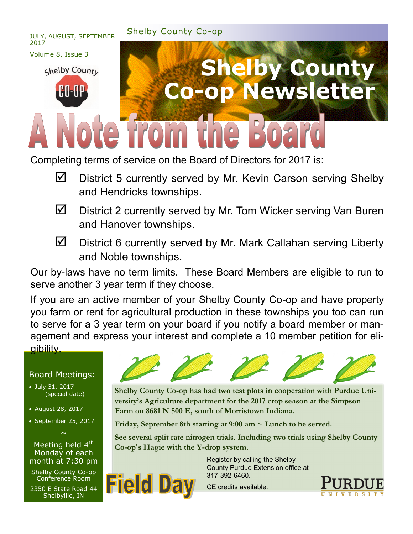

Completing terms of service on the Board of Directors for 2017 is:

- $\blacksquare$  District 5 currently served by Mr. Kevin Carson serving Shelby and Hendricks townships.
- $\boxtimes$  District 2 currently served by Mr. Tom Wicker serving Van Buren and Hanover townships.
- 
- $\boxtimes$  District 6 currently served by Mr. Mark Callahan serving Liberty and Noble townships.

Our by-laws have no term limits. These Board Members are eligible to run to serve another 3 year term if they choose.

If you are an active member of your Shelby County Co-op and have property you farm or rent for agricultural production in these townships you too can run to serve for a 3 year term on your board if you notify a board member or management and express your interest and complete a 10 member petition for eligibility.

#### Board Meetings:

- July 31, 2017 (special date)
- August 28, 2017
- September 25, 2017  $\sim$

Meeting held  $4<sup>th</sup>$ Monday of each month at 7:30 pm

Shelby County Co-op Conference Room

2350 E State Road 44 Shelbyille, IN

**Field Da** 



**Shelby County Co-op has had two test plots in cooperation with Purdue University's Agriculture department for the 2017 crop season at the Simpson Farm on 8681 N 500 E, south of Morristown Indiana.** 

**Friday, September 8th starting at 9:00 am ~ Lunch to be served.** 

**See several split rate nitrogen trials. Including two trials using Shelby County Co-op's Hagie with the Y-drop system.**

> Register by calling the Shelby County Purdue Extension office at 317-392-6460.

CE credits available.

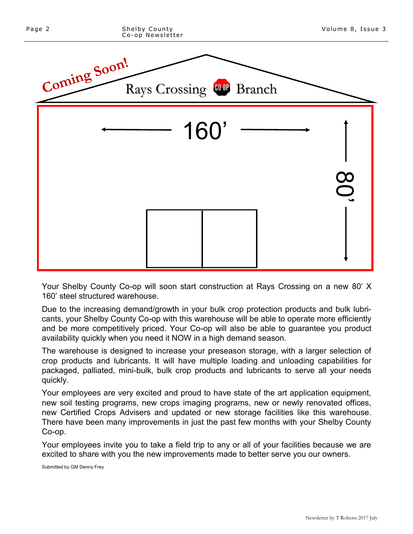

Your Shelby County Co-op will soon start construction at Rays Crossing on a new 80' X 160' steel structured warehouse.

Due to the increasing demand/growth in your bulk crop protection products and bulk lubricants, your Shelby County Co-op with this warehouse will be able to operate more efficiently and be more competitively priced. Your Co-op will also be able to guarantee you product availability quickly when you need it NOW in a high demand season.

The warehouse is designed to increase your preseason storage, with a larger selection of crop products and lubricants. It will have multiple loading and unloading capabilities for packaged, palliated, mini-bulk, bulk crop products and lubricants to serve all your needs quickly.

Your employees are very excited and proud to have state of the art application equipment, new soil testing programs, new crops imaging programs, new or newly renovated offices, new Certified Crops Advisers and updated or new storage facilities like this warehouse. There have been many improvements in just the past few months with your Shelby County Co-op.

Your employees invite you to take a field trip to any or all of your facilities because we are excited to share with you the new improvements made to better serve you our owners.

Submitted by GM Denny Frey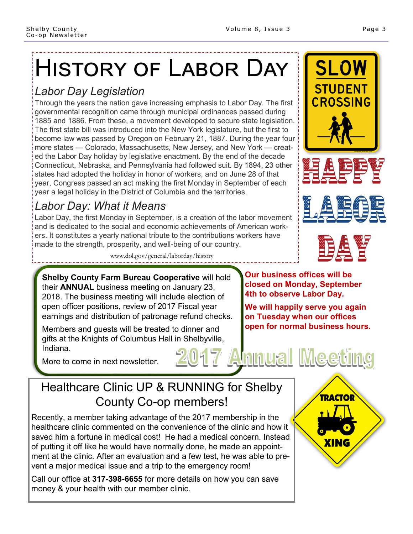# History of Labor Day

### *Labor Day Legislation*

Through the years the nation gave increasing emphasis to Labor Day. The first governmental recognition came through municipal ordinances passed during 1885 and 1886. From these, a movement developed to secure state legislation. The first state bill was introduced into the New York legislature, but the first to become law was passed by Oregon on February 21, 1887. During the year four more states — Colorado, Massachusetts, New Jersey, and New York — created the Labor Day holiday by legislative enactment. By the end of the decade Connecticut, Nebraska, and Pennsylvania had followed suit. By 1894, 23 other states had adopted the holiday in honor of workers, and on June 28 of that year, Congress passed an act making the first Monday in September of each year a legal holiday in the District of Columbia and the territories.

## *Labor Day: What it Means*

Labor Day, the first Monday in September, is a creation of the labor movement and is dedicated to the social and economic achievements of American workers. It constitutes a yearly national tribute to the contributions workers have made to the strength, prosperity, and well-being of our country.

www.dol.gov/general/laborday/history

**Shelby County Farm Bureau Cooperative** will hold their **ANNUAL** business meeting on January 23, 2018. The business meeting will include election of open officer positions, review of 2017 Fiscal year earnings and distribution of patronage refund checks.

Members and guests will be treated to dinner and gifts at the Knights of Columbus Hall in Shelbyville, Indiana. **Annual Meeting** 

More to come in next newsletter.

# Healthcare Clinic UP & RUNNING for Shelby County Co-op members!

Recently, a member taking advantage of the 2017 membership in the healthcare clinic commented on the convenience of the clinic and how it saved him a fortune in medical cost! He had a medical concern. Instead of putting it off like he would have normally done, he made an appointment at the clinic. After an evaluation and a few test, he was able to prevent a major medical issue and a trip to the emergency room!

Call our office at **317-398-6655** for more details on how you can save money & your health with our member clinic.

**Our business offices will be closed on Monday, September 4th to observe Labor Day.** 

**We will happily serve you again on Tuesday when our offices open for normal business hours.**